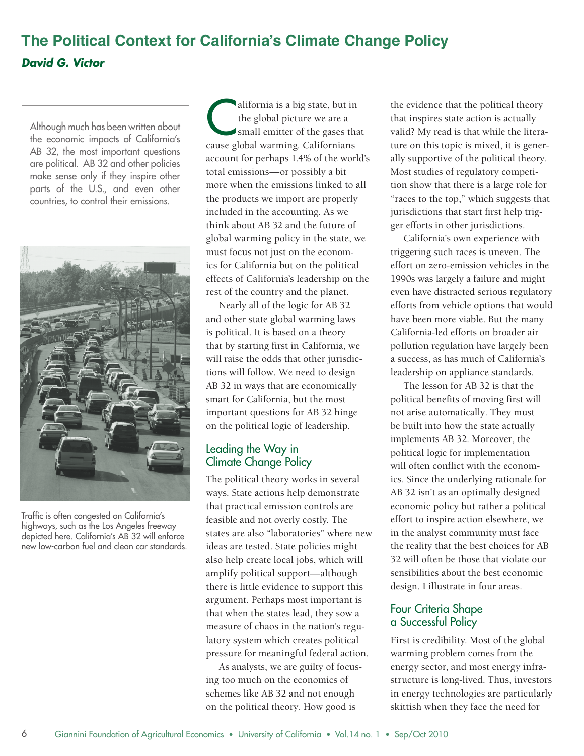## **The Political Context for California's Climate Change Policy** *David G. Victor*

Although much has been written about the economic impacts of California's AB 32, the most important questions are political. AB 32 and other policies make sense only if they inspire other parts of the U.S., and even other countries, to control their emissions.



Traffic is often congested on California's highways, such as the Los Angeles freeway depicted here. California's AB 32 will enforce new low-carbon fuel and clean car standards.

alifornia is a big state, but in the global picture we are a small emitter of the gases that cause global warming. Californians account for perhaps 1.4% of the world's total emissions—or possibly a bit more when the emissions linked to all the products we import are properly included in the accounting. As we think about AB 32 and the future of global warming policy in the state, we must focus not just on the economics for California but on the political effects of California's leadership on the rest of the country and the planet.

Nearly all of the logic for AB 32 and other state global warming laws is political. It is based on a theory that by starting first in California, we will raise the odds that other jurisdictions will follow. We need to design AB 32 in ways that are economically smart for California, but the most important questions for AB 32 hinge on the political logic of leadership.

## Leading the Way in Climate Change Policy

The political theory works in several ways. State actions help demonstrate that practical emission controls are feasible and not overly costly. The states are also "laboratories" where new ideas are tested. State policies might also help create local jobs, which will amplify political support—although there is little evidence to support this argument. Perhaps most important is that when the states lead, they sow a measure of chaos in the nation's regulatory system which creates political pressure for meaningful federal action.

As analysts, we are guilty of focusing too much on the economics of schemes like AB 32 and not enough on the political theory. How good is

the evidence that the political theory that inspires state action is actually valid? My read is that while the literature on this topic is mixed, it is generally supportive of the political theory. Most studies of regulatory competition show that there is a large role for "races to the top," which suggests that jurisdictions that start first help trigger efforts in other jurisdictions.

California's own experience with triggering such races is uneven. The effort on zero-emission vehicles in the 1990s was largely a failure and might even have distracted serious regulatory efforts from vehicle options that would have been more viable. But the many California-led efforts on broader air pollution regulation have largely been a success, as has much of California's leadership on appliance standards.

The lesson for AB 32 is that the political benefits of moving first will not arise automatically. They must be built into how the state actually implements AB 32. Moreover, the political logic for implementation will often conflict with the economics. Since the underlying rationale for AB 32 isn't as an optimally designed economic policy but rather a political effort to inspire action elsewhere, we in the analyst community must face the reality that the best choices for AB 32 will often be those that violate our sensibilities about the best economic design. I illustrate in four areas.

## Four Criteria Shape a Successful Policy

First is credibility. Most of the global warming problem comes from the energy sector, and most energy infrastructure is long-lived. Thus, investors in energy technologies are particularly skittish when they face the need for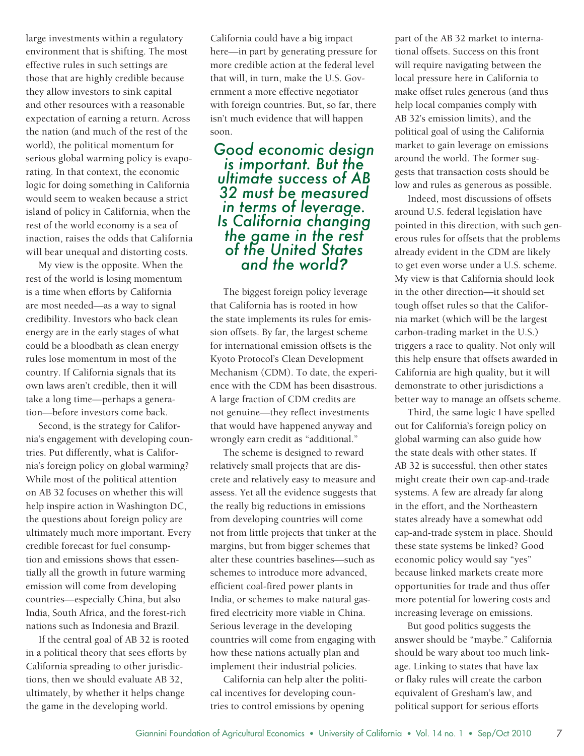large investments within a regulatory environment that is shifting. The most effective rules in such settings are those that are highly credible because they allow investors to sink capital and other resources with a reasonable expectation of earning a return. Across the nation (and much of the rest of the world), the political momentum for serious global warming policy is evaporating. In that context, the economic logic for doing something in California would seem to weaken because a strict island of policy in California, when the rest of the world economy is a sea of inaction, raises the odds that California will bear unequal and distorting costs.

My view is the opposite. When the rest of the world is losing momentum is a time when efforts by California are most needed—as a way to signal credibility. Investors who back clean energy are in the early stages of what could be a bloodbath as clean energy rules lose momentum in most of the country. If California signals that its own laws aren't credible, then it will take a long time—perhaps a generation—before investors come back.

Second, is the strategy for California's engagement with developing countries. Put differently, what is California's foreign policy on global warming? While most of the political attention on AB 32 focuses on whether this will help inspire action in Washington DC, the questions about foreign policy are ultimately much more important. Every credible forecast for fuel consumption and emissions shows that essentially all the growth in future warming emission will come from developing countries—especially China, but also India, South Africa, and the forest-rich nations such as Indonesia and Brazil.

If the central goal of AB 32 is rooted in a political theory that sees efforts by California spreading to other jurisdictions, then we should evaluate AB 32, ultimately, by whether it helps change the game in the developing world.

California could have a big impact here—in part by generating pressure for more credible action at the federal level that will, in turn, make the U.S. Government a more effective negotiator with foreign countries. But, so far, there isn't much evidence that will happen soon.

*Good economic design is important. But the ultimate success of AB 32 must be measured in terms of leverage. Is California changing the game in the rest of the United States and the world?*

The biggest foreign policy leverage that California has is rooted in how the state implements its rules for emission offsets. By far, the largest scheme for international emission offsets is the Kyoto Protocol's Clean Development Mechanism (CDM). To date, the experience with the CDM has been disastrous. A large fraction of CDM credits are not genuine—they reflect investments that would have happened anyway and wrongly earn credit as "additional."

The scheme is designed to reward relatively small projects that are discrete and relatively easy to measure and assess. Yet all the evidence suggests that the really big reductions in emissions from developing countries will come not from little projects that tinker at the margins, but from bigger schemes that alter these countries baselines—such as schemes to introduce more advanced, efficient coal-fired power plants in India, or schemes to make natural gasfired electricity more viable in China. Serious leverage in the developing countries will come from engaging with how these nations actually plan and implement their industrial policies.

California can help alter the political incentives for developing countries to control emissions by opening

part of the AB 32 market to international offsets. Success on this front will require navigating between the local pressure here in California to make offset rules generous (and thus help local companies comply with AB 32's emission limits), and the political goal of using the California market to gain leverage on emissions around the world. The former suggests that transaction costs should be low and rules as generous as possible.

Indeed, most discussions of offsets around U.S. federal legislation have pointed in this direction, with such generous rules for offsets that the problems already evident in the CDM are likely to get even worse under a U.S. scheme. My view is that California should look in the other direction—it should set tough offset rules so that the California market (which will be the largest carbon-trading market in the U.S.) triggers a race to quality. Not only will this help ensure that offsets awarded in California are high quality, but it will demonstrate to other jurisdictions a better way to manage an offsets scheme.

Third, the same logic I have spelled out for California's foreign policy on global warming can also guide how the state deals with other states. If AB 32 is successful, then other states might create their own cap-and-trade systems. A few are already far along in the effort, and the Northeastern states already have a somewhat odd cap-and-trade system in place. Should these state systems be linked? Good economic policy would say "yes" because linked markets create more opportunities for trade and thus offer more potential for lowering costs and increasing leverage on emissions.

But good politics suggests the answer should be "maybe." California should be wary about too much linkage. Linking to states that have lax or flaky rules will create the carbon equivalent of Gresham's law, and political support for serious efforts